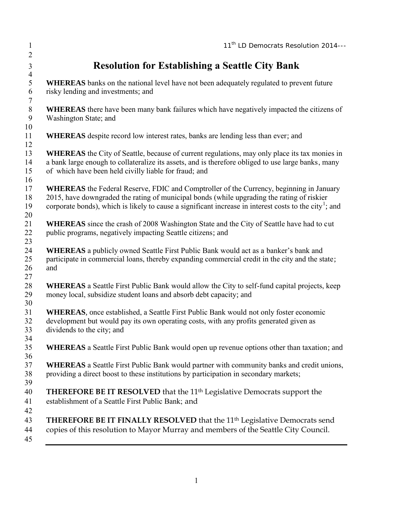|                                                             | 11 <sup>th</sup> LD Democrats Resolution 2014---                                                                                                                                                                                                                                                                   |
|-------------------------------------------------------------|--------------------------------------------------------------------------------------------------------------------------------------------------------------------------------------------------------------------------------------------------------------------------------------------------------------------|
| <b>Resolution for Establishing a Seattle City Bank</b>      |                                                                                                                                                                                                                                                                                                                    |
| risky lending and investments; and                          | <b>WHEREAS</b> banks on the national level have not been adequately regulated to prevent future                                                                                                                                                                                                                    |
| Washington State; and                                       | <b>WHEREAS</b> there have been many bank failures which have negatively impacted the citizens of                                                                                                                                                                                                                   |
|                                                             | <b>WHEREAS</b> despite record low interest rates, banks are lending less than ever; and                                                                                                                                                                                                                            |
| of which have been held civilly liable for fraud; and       | <b>WHEREAS</b> the City of Seattle, because of current regulations, may only place its tax monies in<br>a bank large enough to collateralize its assets, and is therefore obliged to use large banks, many                                                                                                         |
|                                                             | <b>WHEREAS</b> the Federal Reserve, FDIC and Comptroller of the Currency, beginning in January<br>2015, have downgraded the rating of municipal bonds (while upgrading the rating of riskier<br>corporate bonds), which is likely to cause a significant increase in interest costs to the city <sup>1</sup> ; and |
| public programs, negatively impacting Seattle citizens; and | <b>WHEREAS</b> since the crash of 2008 Washington State and the City of Seattle have had to cut                                                                                                                                                                                                                    |
| and                                                         | <b>WHEREAS</b> a publicly owned Seattle First Public Bank would act as a banker's bank and<br>participate in commercial loans, thereby expanding commercial credit in the city and the state;                                                                                                                      |
|                                                             | <b>WHEREAS</b> a Seattle First Public Bank would allow the City to self-fund capital projects, keep<br>money local, subsidize student loans and absorb debt capacity; and                                                                                                                                          |
| dividends to the city; and                                  | <b>WHEREAS</b> , once established, a Seattle First Public Bank would not only foster economic<br>development but would pay its own operating costs, with any profits generated given as                                                                                                                            |
|                                                             | <b>WHEREAS</b> a Seattle First Public Bank would open up revenue options other than taxation; and                                                                                                                                                                                                                  |
|                                                             | <b>WHEREAS</b> a Seattle First Public Bank would partner with community banks and credit unions,<br>providing a direct boost to these institutions by participation in secondary markets;                                                                                                                          |
| establishment of a Seattle First Public Bank; and           | <b>THEREFORE BE IT RESOLVED</b> that the 11 <sup>th</sup> Legislative Democrats support the                                                                                                                                                                                                                        |
|                                                             | THEREFORE BE IT FINALLY RESOLVED that the 11 <sup>th</sup> Legislative Democrats send<br>copies of this resolution to Mayor Murray and members of the Seattle City Council.                                                                                                                                        |